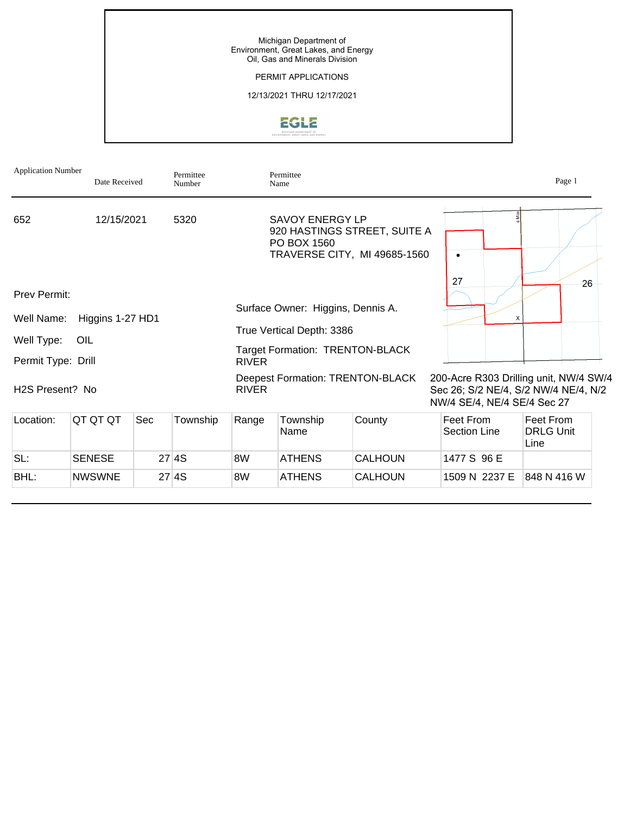## PERMIT APPLICATIONS

## 12/13/2021 THRU 12/17/2021



| <b>Application Number</b>    | Date Received    |     | Permittee<br>Number |                                        | Permittee<br>Name                     |                                                              |                                  | Page 1                                                                         |
|------------------------------|------------------|-----|---------------------|----------------------------------------|---------------------------------------|--------------------------------------------------------------|----------------------------------|--------------------------------------------------------------------------------|
| 652                          | 12/15/2021       |     | 5320                |                                        | <b>SAVOY ENERGY LP</b><br>PO BOX 1560 | 920 HASTINGS STREET, SUITE A<br>TRAVERSE CITY, MI 49685-1560 | $\bullet$                        |                                                                                |
| Prev Permit:                 |                  |     |                     |                                        |                                       |                                                              | 27                               | 26                                                                             |
| Well Name:                   | Higgins 1-27 HD1 |     |                     |                                        | Surface Owner: Higgins, Dennis A.     |                                                              | x                                |                                                                                |
|                              |                  |     |                     | True Vertical Depth: 3386              |                                       |                                                              |                                  |                                                                                |
| Well Type:                   | OIL              |     |                     | <b>Target Formation: TRENTON-BLACK</b> |                                       |                                                              |                                  |                                                                                |
| Permit Type: Drill           |                  |     |                     | <b>RIVER</b>                           |                                       |                                                              |                                  |                                                                                |
| H <sub>2</sub> S Present? No |                  |     |                     | <b>RIVER</b>                           | Deepest Formation: TRENTON-BLACK      |                                                              | NW/4 SE/4, NE/4 SE/4 Sec 27      | 200-Acre R303 Drilling unit, NW/4 SW/4<br>Sec 26; S/2 NE/4, S/2 NW/4 NE/4, N/2 |
| Location:                    | QT QT QT         | Sec | Township            | Range                                  | Township<br>Name                      | County                                                       | Feet From<br><b>Section Line</b> | Feet From<br><b>DRLG Unit</b><br>Line                                          |
| SL:                          | <b>SENESE</b>    |     | 27 4S               | 8W                                     | <b>ATHENS</b>                         | <b>CALHOUN</b>                                               | 1477 S 96 E                      |                                                                                |
| BHL:                         | <b>NWSWNE</b>    |     | 27 4S               | 8W                                     | <b>ATHENS</b>                         | <b>CALHOUN</b>                                               | 1509 N 2237 E                    | 848 N 416 W                                                                    |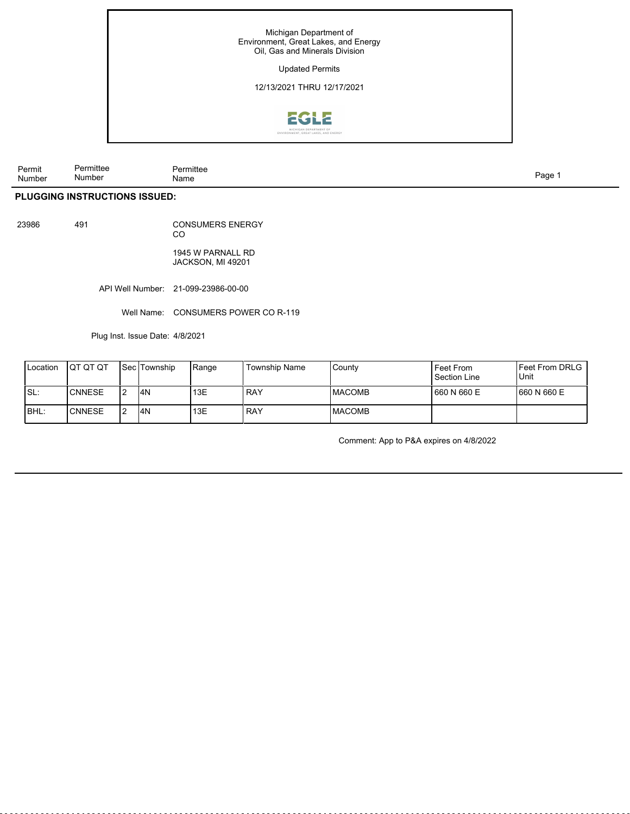

| Permit<br>Number | .<br>Permittee<br>Number | ∙rmittee<br>Name | age' |  |
|------------------|--------------------------|------------------|------|--|
|                  |                          |                  |      |  |

# **PLUGGING INSTRUCTIONS ISSUED:**

| 23986 | 491 | <b>CONSUMERS ENERGY</b> |
|-------|-----|-------------------------|
|       |     | <sub>CO</sub>           |

1945 W PARNALL RD JACKSON, MI 49201

API Well Number: 21-099-23986-00-00

Well Name: CONSUMERS POWER CO R-119

Plug Inst. Issue Date: 4/8/2021

| Location | <b>IQT QT QT</b> | <b>I</b> Sec <i>Township</i> | Range | Township Name | County         | Feet From<br>Section Line | IFeet From DRLG I<br>Unit |
|----------|------------------|------------------------------|-------|---------------|----------------|---------------------------|---------------------------|
| ISL:     | <b>CNNESE</b>    | I4N                          | 13E   | <b>RAY</b>    | IMACOMB        | 1660 N 660 E              | 1660 N 660 E              |
| BHL:     | ICNNESE          | I4N                          | 13E   | <b>RAY</b>    | <b>IMACOMB</b> |                           |                           |

Comment: App to P&A expires on 4/8/2022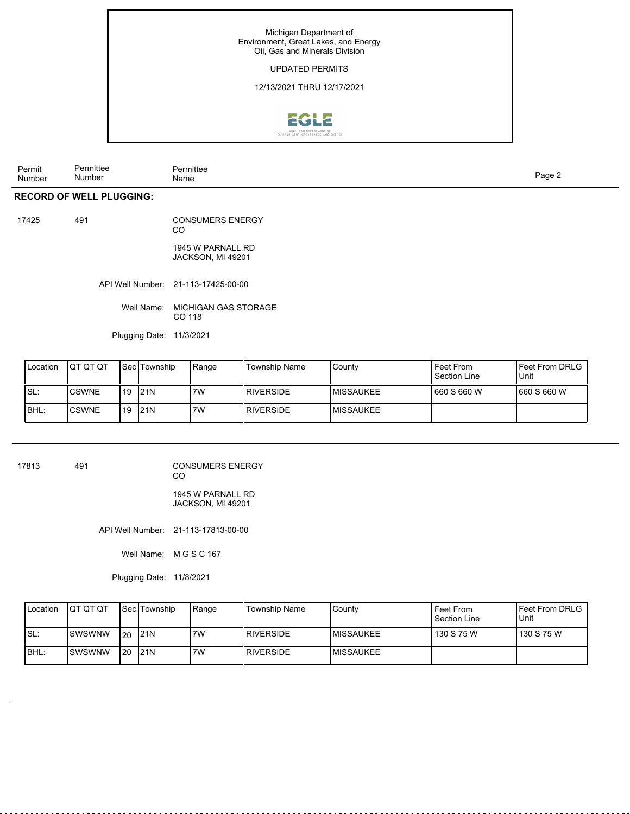## UPDATED PERMITS

12/13/2021 THRU 12/17/2021



| Permit<br>Number | $1 - \frac{1}{2}$<br>Number | nitte.<br>Name<br>. | auc<br>$\cdot$ |
|------------------|-----------------------------|---------------------|----------------|
|------------------|-----------------------------|---------------------|----------------|

## **RECORD OF WELL PLUGGING:**

| 17425 | 491 | <b>CONSUMERS ENERGY</b><br>CO |
|-------|-----|-------------------------------|
|       |     |                               |

1945 W PARNALL RD JACKSON, MI 49201

API Well Number: 21-113-17425-00-00

Well Name: MICHIGAN GAS STORAGE CO 118

Plugging Date: 11/3/2021

| Location | IQT QT QT     |    | l Sec lTownship | Range | <b>Township Name</b> | l Countv          | Feet From<br>Section Line | <b>I</b> Feet From DRLG<br>Unit |
|----------|---------------|----|-----------------|-------|----------------------|-------------------|---------------------------|---------------------------------|
| SL:      | <b>ICSWNE</b> | 19 | 121N            | 7W    | I RIVERSIDE          | <b>IMISSAUKEE</b> | 1660 S 660 W              | 1660 S 660 W                    |
| BHL:     | <b>CSWNE</b>  | 19 | 121N            | 7W    | I RIVERSIDE          | <b>IMISSAUKEE</b> |                           |                                 |

17813 491 CONSUMERS ENERGY CO

1945 W PARNALL RD JACKSON, MI 49201

API Well Number: 21-113-17813-00-00

Well Name: M G S C 167

Plugging Date: 11/8/2021

| <b>I</b> Location | Ιατ οτ οτ |      | <b>Sec Township</b> | Range | Township Name    | County            | Feet From<br>Section Line | <b>IFeet From DRLG</b><br>Unit |
|-------------------|-----------|------|---------------------|-------|------------------|-------------------|---------------------------|--------------------------------|
| ISL:              | ISWSWNW   | l 20 | 121N                | 7W    | <b>RIVERSIDE</b> | <b>IMISSAUKEE</b> | 130 S 75 W                | l 130 S 75 W                   |
| IBHL:             | ISWSWNW   | l 20 | 121N                | 7W    | <b>RIVERSIDE</b> | <b>IMISSAUKEE</b> |                           |                                |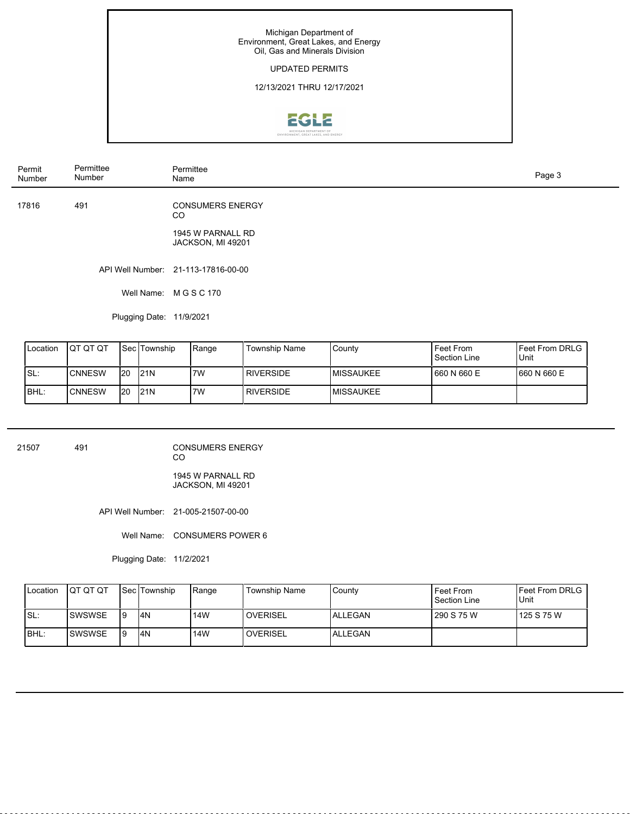## UPDATED PERMITS

## 12/13/2021 THRU 12/17/2021



| Permit<br>Number | Permittee<br>Number      | Permittee<br>Name                                             | Page 3 |
|------------------|--------------------------|---------------------------------------------------------------|--------|
| 17816            | 491                      | <b>CONSUMERS ENERGY</b><br><sub>CO</sub><br>1945 W PARNALL RD |        |
|                  |                          | JACKSON, MI 49201                                             |        |
|                  |                          | API Well Number: 21-113-17816-00-00                           |        |
|                  | Well Name:               | M G S C 170                                                   |        |
|                  | Plugging Date: 11/9/2021 |                                                               |        |

| <b>ILocation</b> | IQT QT QT |     | <b>Sec Township</b> | Range | <b>Township Name</b> | l Countv          | Feet From<br>Section Line | <b>IFeet From DRLG</b><br><b>Unit</b> |
|------------------|-----------|-----|---------------------|-------|----------------------|-------------------|---------------------------|---------------------------------------|
| Is∟:             | ICNNESW   | 120 | 121N                | '7W   | <b>I RIVERSIDE</b>   | <b>IMISSAUKEE</b> | 660 N 660 E               | 1660 N 660 E                          |
| IBHL:            | ICNNESW   | I20 | 121N                | 7W    | I RIVERSIDE          | <b>IMISSAUKEE</b> |                           |                                       |

| 21507 | 491 | <b>CONSUMERS ENERGY</b><br>CO          |  |
|-------|-----|----------------------------------------|--|
|       |     | 1945 W PARNALL RD<br>JACKSON, MI 49201 |  |
|       |     | API Well Number: 21-005-21507-00-00    |  |

Well Name: CONSUMERS POWER 6

Plugging Date: 11/2/2021

| Location | ΙΟΤ ΟΤ ΟΤ | l Sec lTownship | Range | Township Name     | County   | Feet From<br>Section Line | IFeet From DRLG<br>Unit |
|----------|-----------|-----------------|-------|-------------------|----------|---------------------------|-------------------------|
| ISL:     | ISWSWSE   | I4N             | 14W   | <b>I</b> OVERISEL | IALLEGAN | 290 S 75 W                | l 125 S 75 W            |
| IBHL:    | ISWSWSE   | I4N             | 14W   | <b>OVERISEL</b>   | IALLEGAN |                           |                         |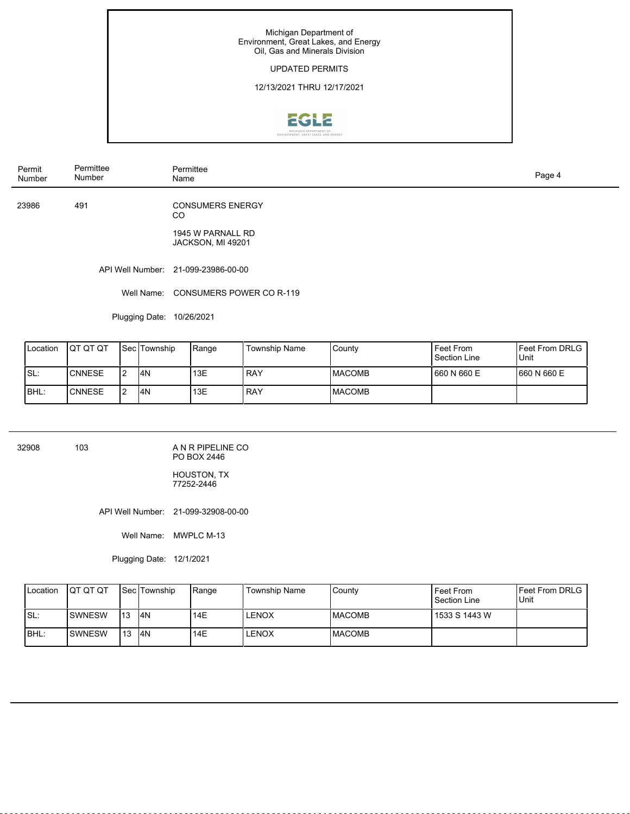## UPDATED PERMITS

## 12/13/2021 THRU 12/17/2021



| Permit<br>Number | Permittee<br>Number | Permittee<br>Name                      | Page 4 |
|------------------|---------------------|----------------------------------------|--------|
| 23986            | 491                 | <b>CONSUMERS ENERGY</b><br>CO          |        |
|                  |                     | 1945 W PARNALL RD<br>JACKSON, MI 49201 |        |
|                  |                     | API Well Number: 21-099-23986-00-00    |        |
|                  | Well Name:          | CONSUMERS POWER CO R-119               |        |

Plugging Date: 10/26/2021

| Location | IQT QT QT     | l Sec lTownship | Range | Township Name | County         | Feet From<br>Section Line | <b>IFeet From DRLG</b><br>Unit |
|----------|---------------|-----------------|-------|---------------|----------------|---------------------------|--------------------------------|
| !SL∶     | <b>CNNESE</b> | I <sub>4N</sub> | 13E   | RAY           | <b>IMACOMB</b> | 1660 N 660 E              | 1660 N 660 E                   |
| BHL:     | <b>CNNESE</b> | I <sub>4N</sub> | 13E   | RAY           | <b>IMACOMB</b> |                           |                                |

32908 103

A N R PIPELINE CO PO BOX 2446

HOUSTON, TX 77252-2446

API Well Number: 21-099-32908-00-00

Well Name: MWPLC M-13

Plugging Date: 12/1/2021

| <b>I</b> Location | IQT QT QT       |      | <b>ISec Township</b> | 'Range | Township Name | County  | Feet From<br>Section Line | IFeet From DRLG<br>Unit |
|-------------------|-----------------|------|----------------------|--------|---------------|---------|---------------------------|-------------------------|
| ISL:              | <b>I</b> SWNESW | 113  | I4N                  | 14E    | LENOX         | IMACOMB | 1533 S 1443 W             |                         |
| IBHL:             | <b>ISWNESW</b>  | l 13 | I4N                  | 14E    | LENOX         | IMACOMB |                           |                         |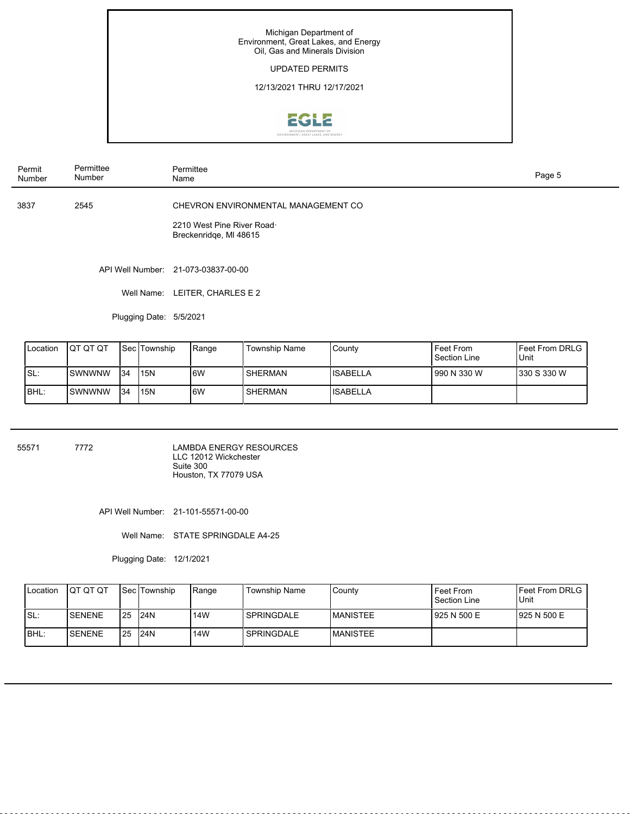## UPDATED PERMITS

12/13/2021 THRU 12/17/2021



| Permit<br>Number | Permittee<br>Number | Permittee<br>Name                                                                           | Page 5 |
|------------------|---------------------|---------------------------------------------------------------------------------------------|--------|
| 3837             | 2545                | CHEVRON ENVIRONMENTAL MANAGEMENT CO<br>2210 West Pine River Road.<br>Breckenridge, MI 48615 |        |
|                  |                     | API Well Number: 21-073-03837-00-00                                                         |        |

Well Name: LEITER, CHARLES E 2

Plugging Date: 5/5/2021

| <b>I</b> Location | <b>IQT QT QT</b> |     | l Sec ITownship | Range | <b>Township Name</b> | l Countv  | Feet From<br>Section Line | l Feet From DRLG<br>Unit |
|-------------------|------------------|-----|-----------------|-------|----------------------|-----------|---------------------------|--------------------------|
| ISL:              | ISWNWNW          | 134 | 115N            | 16W   | SHERMAN              | IISABELLA | l 990 N 330 W             | 330 S 330 W              |
| IBHL:             | ISWNWNW          | 134 | 115N            | 6W    | SHERMAN              | IISABELLA |                           |                          |

55571 7772

LAMBDA ENERGY RESOURCES LLC 12012 Wickchester Suite 300 Houston, TX 77079 USA

API Well Number: 21-101-55571-00-00

Well Name: STATE SPRINGDALE A4-25

Plugging Date: 12/1/2021

| <b>I</b> Location | ΙΟΤ ΟΤ ΟΤ      |           | <b>ISec ITownship</b> | Range | Township Name | County           | Feet From<br>Section Line | <b>IFeet From DRLG</b><br>Unit |
|-------------------|----------------|-----------|-----------------------|-------|---------------|------------------|---------------------------|--------------------------------|
| ISL:              | <b>ISENENE</b> | <b>25</b> | 124N                  | 14W   | I SPRINGDALE  | <b>IMANISTEE</b> | 1925 N 500 E              | 1925 N 500 E                   |
| IBHL:             | ISENENE        | 25        | 124N                  | 14W   | l SPRINGDALE  | <b>IMANISTEE</b> |                           |                                |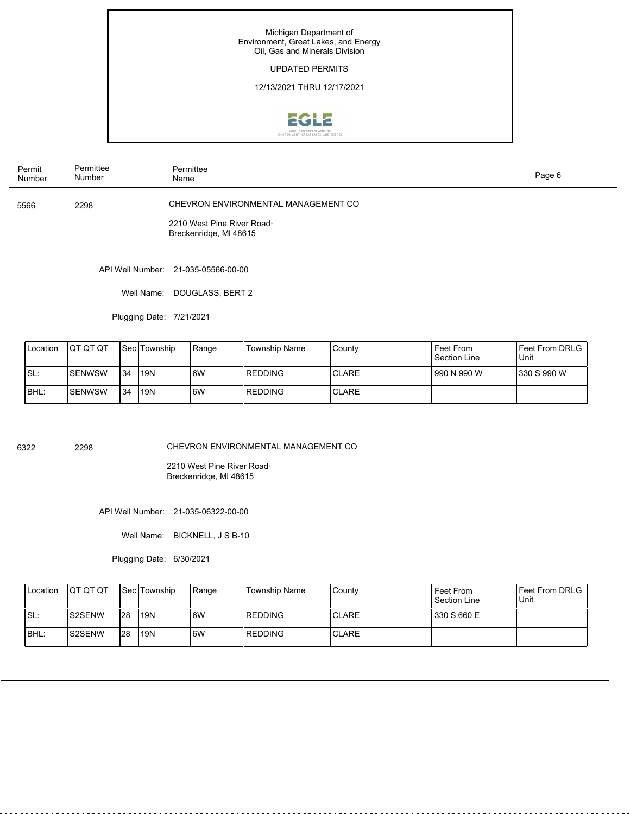## UPDATED PERMITS

12/13/2021 THRU 12/17/2021



| Permit<br>Number | Permittee<br>Number | Permittee<br>Name                                                                           | Page 6 |
|------------------|---------------------|---------------------------------------------------------------------------------------------|--------|
| 5566             | 2298                | CHEVRON ENVIRONMENTAL MANAGEMENT CO<br>2210 West Pine River Road.<br>Breckenridge, MI 48615 |        |
|                  |                     | API Well Number: 21-035-05566-00-00                                                         |        |

Well Name: DOUGLASS, BERT 2

Plugging Date: 7/21/2021

| <b>I</b> Location | <b>IQT QT QT</b> |     | l Sec lTownship | Range | Township Name  | l Countv      | Feet From<br>Section Line | <b>IFeet From DRLG</b><br>l Unit |
|-------------------|------------------|-----|-----------------|-------|----------------|---------------|---------------------------|----------------------------------|
| ISL:              | <b>SENWSW</b>    | 134 | l19N            | 6W    | <b>REDDING</b> | <b>CLARE</b>  | l 990 N 990 W             | 330 S 990 W                      |
| IBHL:             | <b>SENWSW</b>    | 134 | l19N            | 6W    | <b>REDDING</b> | <b>ICLARE</b> |                           |                                  |

6322 2298

CHEVRON ENVIRONMENTAL MANAGEMENT CO

2210 West Pine River Road· Breckenridqe, Ml 48615

API Well Number: 21-035-06322-00-00

Well Name: BICKNELL, J S B-10

Plugging Date: 6/30/2021

| <b>I</b> Location | <b>IQT QT QT</b> |     | <b>Sec Township</b> | Range | Township Name  | County | Feet From<br>Section Line | IFeet From DRLG<br>Unit |
|-------------------|------------------|-----|---------------------|-------|----------------|--------|---------------------------|-------------------------|
| ISL:              | IS2SENW          | 128 | <b>119N</b>         | 6W    | l REDDING      | ICLARE | 330 S 660 E               |                         |
| IBHL:             | IS2SENW          | 128 | <b>119N</b>         | 6W    | <b>REDDING</b> | ICLARE |                           |                         |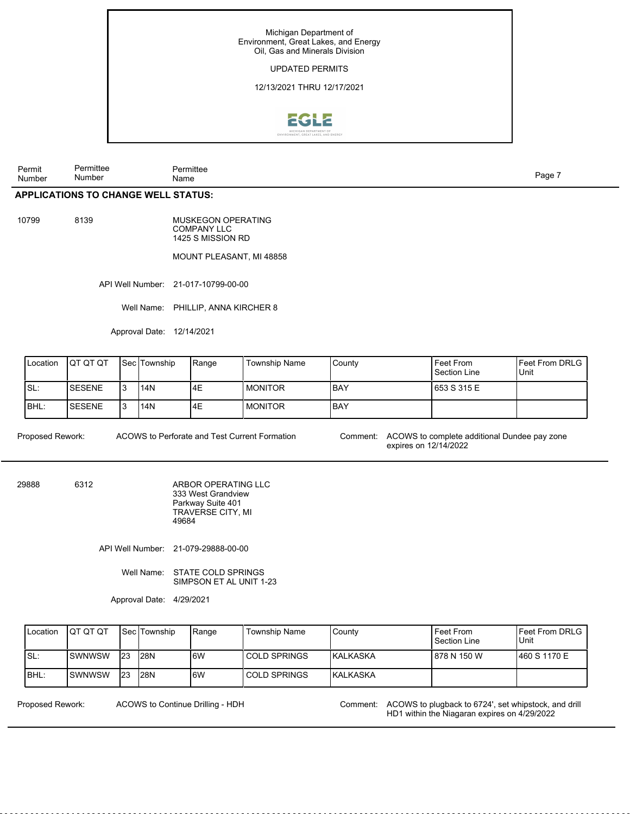

Permit Number Permittee Number Permittee nde and the second state of the second state of the second state of the second state of the Page 7 and the Shape of the Shape of the Shape of the Shape of the Shape of the Shape of the Shape of the Shape of the Shape of th

## **APPLICATIONS TO CHANGE WELL STATUS:**

10799 8139

MUSKEGON OPERATING COMPANY LLC 1425 S MISSION RD

#### MOUNT PLEASANT, MI 48858

API Well Number: 21-017-10799-00-00

Well Name: PHILLIP, ANNA KIRCHER 8

Approval Date: 12/14/2021

| Location | IQT QT QT     | l Sec lTownship | 'Range | <b>Township Name</b> | l Countv | Feet From<br>Section Line | <b>IFeet From DRLG</b><br>Unit |
|----------|---------------|-----------------|--------|----------------------|----------|---------------------------|--------------------------------|
| SL:      | <b>SESENE</b> | 114N            | 4E     | I MONITOR            | IBAY     | 653 S 315 E               |                                |
| IBHL:    | <b>SESENE</b> | <b>114N</b>     | l4E    | I MONITOR            | IBAY     |                           |                                |

ACOWS to Perforate and Test Current Formation

Proposed Rework: ACOWS to Perforate and Test Current Formation Comment: ACOWS to complete additional Dundee pay zone expires on 12/14/2022

29888 6312

ARBOR OPERATING LLC 333 West Grandview Parkway Suite 401 TRAVERSE CITY, MI 49684

API Well Number: 21-079-29888-00-00

Well Name: STATE COLD SPRINGS SIMPSON ET AL UNIT 1-23

Approval Date: 4/29/2021

| <b>I</b> Location | <b>IQT QT QT</b> |     | <b>Sec Township</b> | Range | <b>Township Name</b> | l Countv         | Feet From<br>Section Line | <b>IFeet From DRLG</b><br>Unit |
|-------------------|------------------|-----|---------------------|-------|----------------------|------------------|---------------------------|--------------------------------|
| ISL:              | Iswnwsw          | 123 | I <sub>28</sub> N   | 6W    | I COLD SPRINGS       | <b>IKALKASKA</b> | 878 N 150 W               | 1460 S 1170 E                  |
| IBHL:             | Iswnwsw          | 123 | 128N                | 6W    | I COLD SPRINGS       | <b>IKALKASKA</b> |                           |                                |

ACOWS to Continue Drilling - HDH

Proposed Rework: ACOWS to Continue Drilling - HDH Comment: ACOWS to plugback to 6724', set whipstock, and drill HD1 within the Niagaran expires on 4/29/2022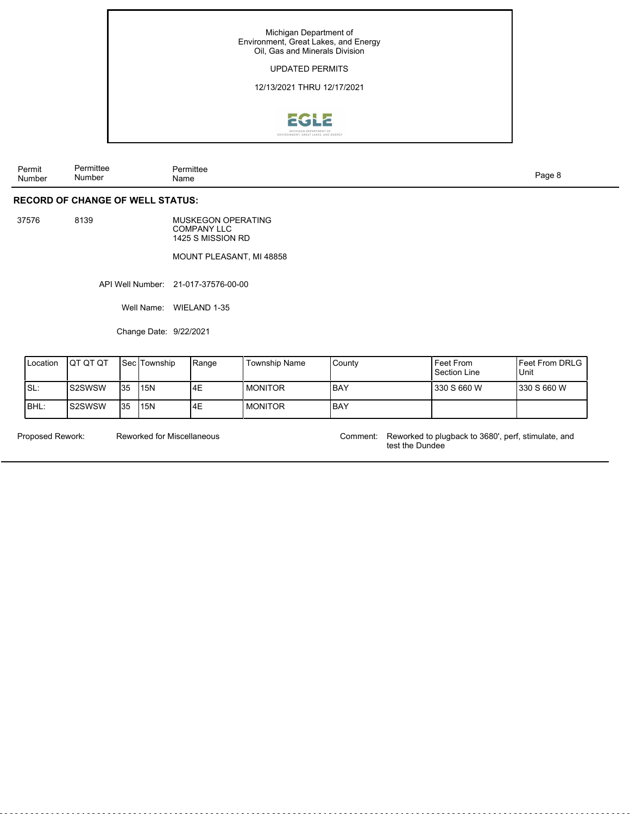

| ⊃ormi′<br>′ermit | Permittee | .<br>Permittee |  |
|------------------|-----------|----------------|--|
| Number           | Number    | Name           |  |

## **RECORD OF CHANGE OF WELL STATUS:**

37576 8139

MUSKEGON OPERATING COMPANY LLC 1425 S MISSION RD

## MOUNT PLEASANT, MI 48858

API Well Number: 21-017-37576-00-00

Well Name: WIELAND 1-35

Change Date: 9/22/2021

| <b>Location</b> | ΙΟΤ ΟΤ ΟΤ |     | l Sec lTownship | Range | <b>Township Name</b> | l Countv | Feet From<br>Section Line | <b>IFeet From DRLG</b><br>' Unit |
|-----------------|-----------|-----|-----------------|-------|----------------------|----------|---------------------------|----------------------------------|
| ISL:            | Is2SWSW   | 135 | <b>15N</b>      | 4E    | <b>IMONITOR</b>      | IBAY     | 330 S 660 W               | 330 S 660 W                      |
| IBHL:           | IS2SWSW   | 135 | <b>15N</b>      | 4E    | I MONITOR            | IBAY     |                           |                                  |

Reworked for Miscellaneous

Proposed Rework: Reworked to plugback to 3680', perf, stimulate, and test the Dundee